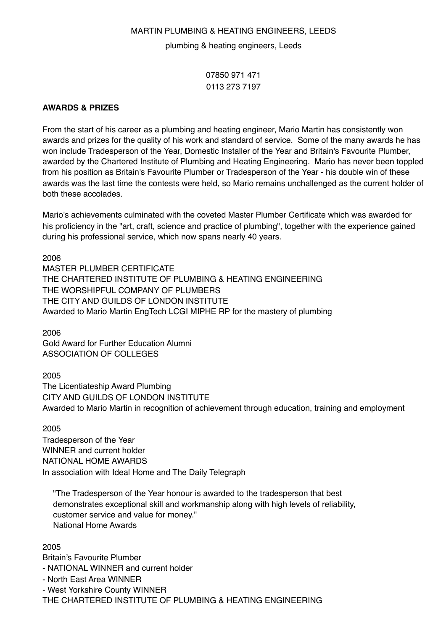## MARTIN PLUMBING & HEATING ENGINEERS, LEEDS

plumbing & heating engineers, Leeds

07850 971 471 0113 273 7197

## **AWARDS & PRIZES**

From the start of his career as a plumbing and heating engineer, Mario Martin has consistently won awards and prizes for the quality of his work and standard of service. Some of the many awards he has won include Tradesperson of the Year, Domestic Installer of the Year and Britain's Favourite Plumber, awarded by the Chartered Institute of Plumbing and Heating Engineering. Mario has never been toppled from his position as Britain's Favourite Plumber or Tradesperson of the Year - his double win of these awards was the last time the contests were held, so Mario remains unchallenged as the current holder of both these accolades.

Mario's achievements culminated with the coveted Master Plumber Certificate which was awarded for his proficiency in the "art, craft, science and practice of plumbing", together with the experience gained during his professional service, which now spans nearly 40 years.

2006 MASTER PLUMBER CERTIFICATE THE CHARTERED INSTITUTE OF PLUMBING & HEATING ENGINEERING THE WORSHIPFUL COMPANY OF PLUMBERS THE CITY AND GUILDS OF LONDON INSTITUTE Awarded to Mario Martin EngTech LCGI MIPHE RP for the mastery of plumbing

2006 Gold Award for Further Education Alumni ASSOCIATION OF COLLEGES

2005

The Licentiateship Award Plumbing CITY AND GUILDS OF LONDON INSTITUTE Awarded to Mario Martin in recognition of achievement through education, training and employment

2005

Tradesperson of the Year WINNER and current holder NATIONAL HOME AWARDS In association with Ideal Home and The Daily Telegraph

"The Tradesperson of the Year honour is awarded to the tradesperson that best demonstrates exceptional skill and workmanship along with high levels of reliability, customer service and value for money." National Home Awards

2005

Britain's Favourite Plumber

- NATIONAL WINNER and current holder

- North East Area WINNER

- West Yorkshire County WINNER

THE CHARTERED INSTITUTE OF PLUMBING & HEATING ENGINEERING